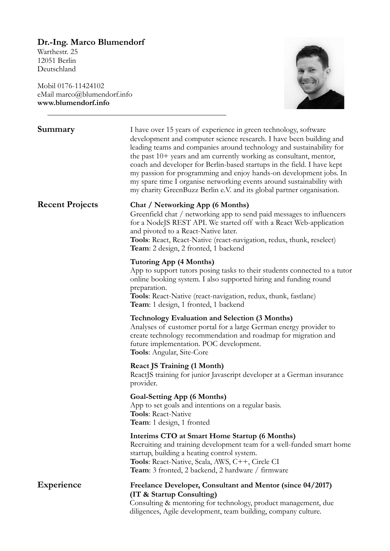# **Dr.-Ing. Marco Blumendorf**

Warthestr. 25 12051 Berlin Deutschland

Mobil 0176-11424102 eMail marco@blumendorf.info **www.blumendorf.info** 



| Summary                | I have over 15 years of experience in green technology, software<br>development and computer science research. I have been building and<br>leading teams and companies around technology and sustainability for<br>the past $10+$ years and am currently working as consultant, mentor,<br>coach and developer for Berlin-based startups in the field. I have kept<br>my passion for programming and enjoy hands-on development jobs. In<br>my spare time I organise networking events around sustainability with<br>my charity GreenBuzz Berlin e.V. and its global partner organisation. |
|------------------------|--------------------------------------------------------------------------------------------------------------------------------------------------------------------------------------------------------------------------------------------------------------------------------------------------------------------------------------------------------------------------------------------------------------------------------------------------------------------------------------------------------------------------------------------------------------------------------------------|
| <b>Recent Projects</b> | <b>Chat / Networking App (6 Months)</b><br>Greenfield chat / networking app to send paid messages to influencers<br>for a NodeJS REST API. We started off with a React Web-application<br>and pivoted to a React-Native later.<br>Tools: React, React-Native (react-navigation, redux, thunk, reselect)<br>Team: 2 design, 2 fronted, 1 backend                                                                                                                                                                                                                                            |
|                        | Tutoring App (4 Months)<br>App to support tutors posing tasks to their students connected to a tutor<br>online booking system. I also supported hiring and funding round<br>preparation.<br>Tools: React-Native (react-navigation, redux, thunk, fastlane)<br>Team: 1 design, 1 fronted, 1 backend                                                                                                                                                                                                                                                                                         |
|                        | <b>Technology Evaluation and Selection (3 Months)</b><br>Analyses of customer portal for a large German energy provider to<br>create technology recommendation and roadmap for migration and<br>future implementation. POC development.<br><b>Tools:</b> Angular, Site-Core                                                                                                                                                                                                                                                                                                                |
|                        | <b>React JS Training (1 Month)</b><br>ReactJS training for junior Javascript developer at a German insurance<br>provider.                                                                                                                                                                                                                                                                                                                                                                                                                                                                  |
|                        | <b>Goal-Setting App (6 Months)</b><br>App to set goals and intentions on a regular basis.<br><b>Tools: React-Native</b><br>Team: 1 design, 1 fronted                                                                                                                                                                                                                                                                                                                                                                                                                                       |
|                        | Interims CTO at Smart Home Startup (6 Months)<br>Recruiting and training development team for a well-funded smart home<br>startup, building a heating control system.<br>Tools: React-Native, Scala, AWS, C++, Circle CI<br>Team: 3 fronted, 2 backend, 2 hardware / firmware                                                                                                                                                                                                                                                                                                              |
| Experience             | Freelance Developer, Consultant and Mentor (since 04/2017)<br>(IT & Startup Consulting)<br>Consulting & mentoring for technology, product management, due<br>diligences, Agile development, team building, company culture.                                                                                                                                                                                                                                                                                                                                                                |